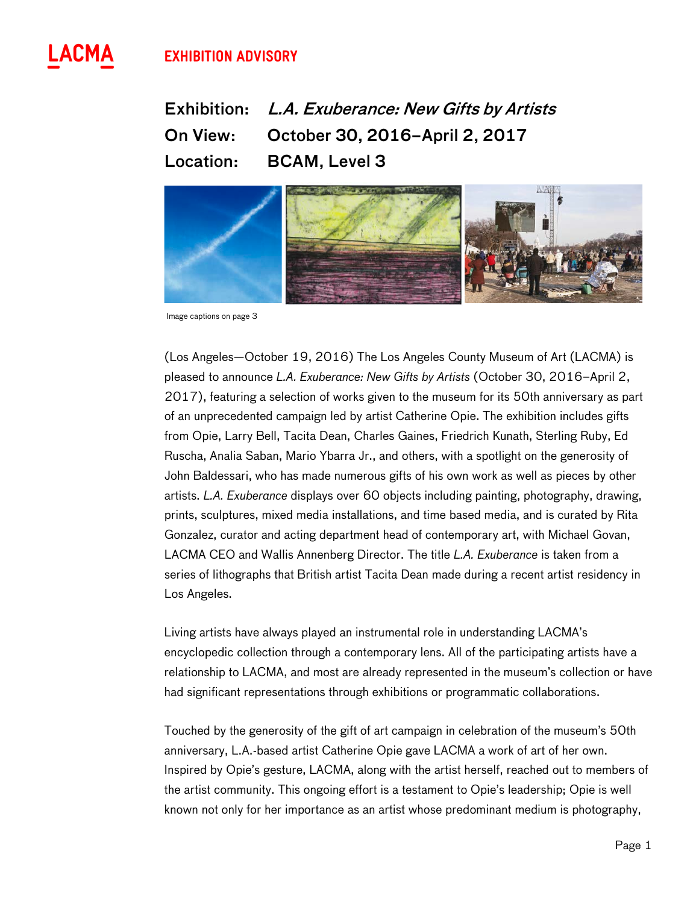# **^ Exhibition Advisory**



Exhibition: L.A. Exuberance: New Gifts by Artists On View: October 30, 2016–April 2, 2017 Location: BCAM, Level 3



Image captions on page 3

(Los Angeles—October 19, 2016) The Los Angeles County Museum of Art (LACMA) is pleased to announce *L.A. Exuberance: New Gifts by Artists* (October 30, 2016–April 2, 2017), featuring a selection of works given to the museum for its 50th anniversary as part of an unprecedented campaign led by artist Catherine Opie. The exhibition includes gifts from Opie, Larry Bell, Tacita Dean, Charles Gaines, Friedrich Kunath, Sterling Ruby, Ed Ruscha, Analia Saban, Mario Ybarra Jr., and others, with a spotlight on the generosity of John Baldessari, who has made numerous gifts of his own work as well as pieces by other artists. *L.A. Exuberance* displays over 60 objects including painting, photography, drawing, prints, sculptures, mixed media installations, and time based media, and is curated by Rita Gonzalez, curator and acting department head of contemporary art, with Michael Govan, LACMA CEO and Wallis Annenberg Director. The title *L.A. Exuberance* is taken from a series of lithographs that British artist Tacita Dean made during a recent artist residency in Los Angeles.

Living artists have always played an instrumental role in understanding LACMA's encyclopedic collection through a contemporary lens. All of the participating artists have a relationship to LACMA, and most are already represented in the museum's collection or have had significant representations through exhibitions or programmatic collaborations.

Touched by the generosity of the gift of art campaign in celebration of the museum's 50th anniversary, L.A.-based artist Catherine Opie gave LACMA a work of art of her own. Inspired by Opie's gesture, LACMA, along with the artist herself, reached out to members of the artist community. This ongoing effort is a testament to Opie's leadership; Opie is well known not only for her importance as an artist whose predominant medium is photography,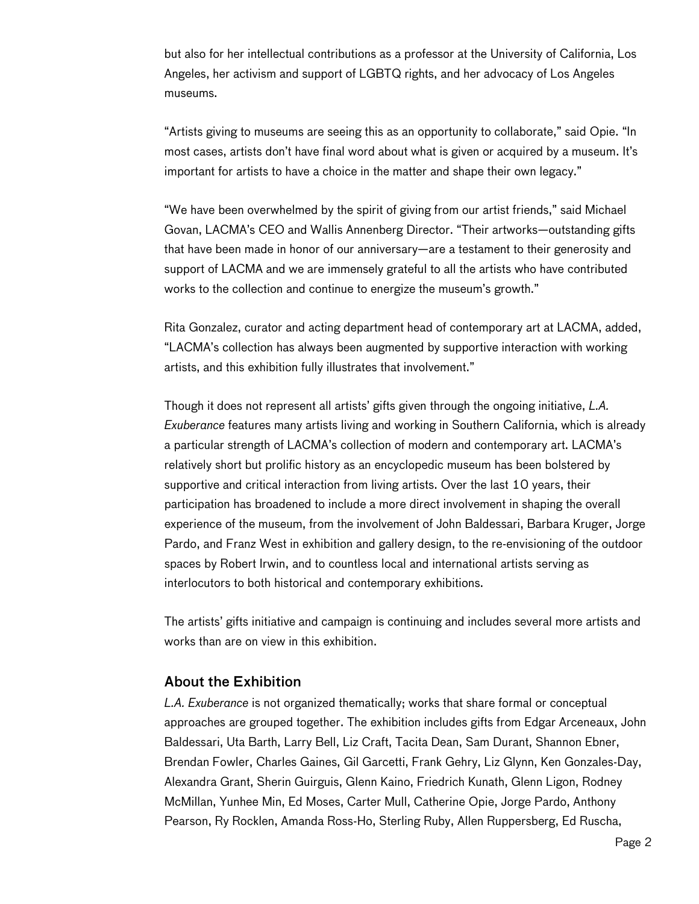but also for her intellectual contributions as a professor at the University of California, Los Angeles, her activism and support of LGBTQ rights, and her advocacy of Los Angeles museums.

"Artists giving to museums are seeing this as an opportunity to collaborate," said Opie. "In most cases, artists don't have final word about what is given or acquired by a museum. It's important for artists to have a choice in the matter and shape their own legacy."

"We have been overwhelmed by the spirit of giving from our artist friends," said Michael Govan, LACMA's CEO and Wallis Annenberg Director. "Their artworks—outstanding gifts that have been made in honor of our anniversary—are a testament to their generosity and support of LACMA and we are immensely grateful to all the artists who have contributed works to the collection and continue to energize the museum's growth."

Rita Gonzalez, curator and acting department head of contemporary art at LACMA, added, "LACMA's collection has always been augmented by supportive interaction with working artists, and this exhibition fully illustrates that involvement."

Though it does not represent all artists' gifts given through the ongoing initiative, *L.A. Exuberance* features many artists living and working in Southern California, which is already a particular strength of LACMA's collection of modern and contemporary art. LACMA's relatively short but prolific history as an encyclopedic museum has been bolstered by supportive and critical interaction from living artists. Over the last 10 years, their participation has broadened to include a more direct involvement in shaping the overall experience of the museum, from the involvement of John Baldessari, Barbara Kruger, Jorge Pardo, and Franz West in exhibition and gallery design, to the re-envisioning of the outdoor spaces by Robert Irwin, and to countless local and international artists serving as interlocutors to both historical and contemporary exhibitions.

The artists' gifts initiative and campaign is continuing and includes several more artists and works than are on view in this exhibition.

## About the Exhibition

*L.A. Exuberance* is not organized thematically; works that share formal or conceptual approaches are grouped together. The exhibition includes gifts from Edgar Arceneaux, John Baldessari, Uta Barth, Larry Bell, Liz Craft, Tacita Dean, Sam Durant, Shannon Ebner, Brendan Fowler, Charles Gaines, Gil Garcetti, Frank Gehry, Liz Glynn, Ken Gonzales-Day, Alexandra Grant, Sherin Guirguis, Glenn Kaino, Friedrich Kunath, Glenn Ligon, Rodney McMillan, Yunhee Min, Ed Moses, Carter Mull, Catherine Opie, Jorge Pardo, Anthony Pearson, Ry Rocklen, Amanda Ross-Ho, Sterling Ruby, Allen Ruppersberg, Ed Ruscha,